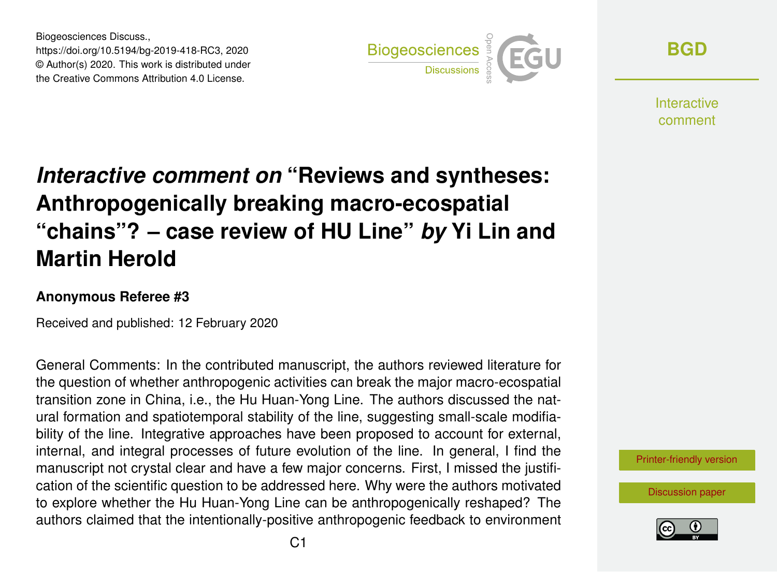Biogeosciences Discuss., https://doi.org/10.5194/bg-2019-418-RC3, 2020 © Author(s) 2020. This work is distributed under the Creative Commons Attribution 4.0 License.



**[BGD](https://www.biogeosciences-discuss.net/)**

**Interactive** comment

## *Interactive comment on* **"Reviews and syntheses: Anthropogenically breaking macro-ecospatial "chains"? – case review of HU Line"** *by* **Yi Lin and Martin Herold**

## **Anonymous Referee #3**

Received and published: 12 February 2020

General Comments: In the contributed manuscript, the authors reviewed literature for the question of whether anthropogenic activities can break the major macro-ecospatial transition zone in China, i.e., the Hu Huan-Yong Line. The authors discussed the natural formation and spatiotemporal stability of the line, suggesting small-scale modifiability of the line. Integrative approaches have been proposed to account for external, internal, and integral processes of future evolution of the line. In general, I find the manuscript not crystal clear and have a few major concerns. First, I missed the justification of the scientific question to be addressed here. Why were the authors motivated to explore whether the Hu Huan-Yong Line can be anthropogenically reshaped? The authors claimed that the intentionally-positive anthropogenic feedback to environment

[Printer-friendly version](https://www.biogeosciences-discuss.net/bg-2019-418/bg-2019-418-RC3-print.pdf)

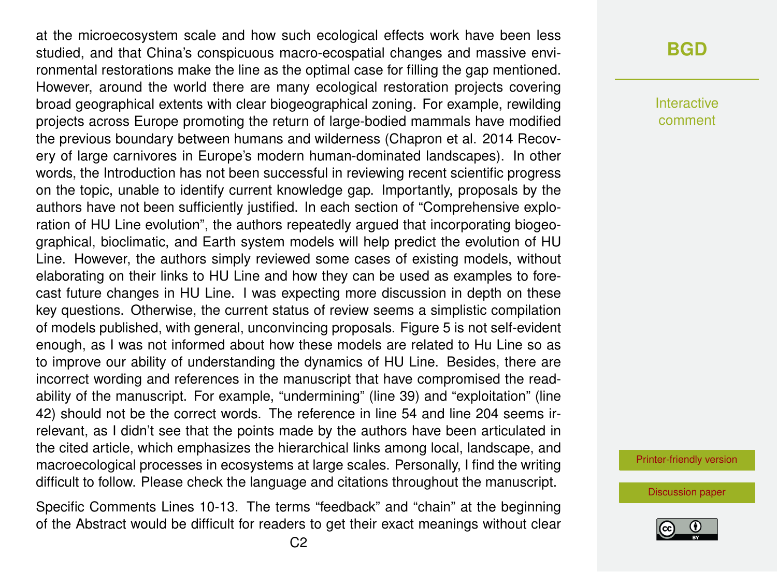at the microecosystem scale and how such ecological effects work have been less studied, and that China's conspicuous macro-ecospatial changes and massive environmental restorations make the line as the optimal case for filling the gap mentioned. However, around the world there are many ecological restoration projects covering broad geographical extents with clear biogeographical zoning. For example, rewilding projects across Europe promoting the return of large-bodied mammals have modified the previous boundary between humans and wilderness (Chapron et al. 2014 Recovery of large carnivores in Europe's modern human-dominated landscapes). In other words, the Introduction has not been successful in reviewing recent scientific progress on the topic, unable to identify current knowledge gap. Importantly, proposals by the authors have not been sufficiently justified. In each section of "Comprehensive exploration of HU Line evolution", the authors repeatedly argued that incorporating biogeographical, bioclimatic, and Earth system models will help predict the evolution of HU Line. However, the authors simply reviewed some cases of existing models, without elaborating on their links to HU Line and how they can be used as examples to forecast future changes in HU Line. I was expecting more discussion in depth on these key questions. Otherwise, the current status of review seems a simplistic compilation of models published, with general, unconvincing proposals. Figure 5 is not self-evident enough, as I was not informed about how these models are related to Hu Line so as to improve our ability of understanding the dynamics of HU Line. Besides, there are incorrect wording and references in the manuscript that have compromised the readability of the manuscript. For example, "undermining" (line 39) and "exploitation" (line 42) should not be the correct words. The reference in line 54 and line 204 seems irrelevant, as I didn't see that the points made by the authors have been articulated in the cited article, which emphasizes the hierarchical links among local, landscape, and macroecological processes in ecosystems at large scales. Personally, I find the writing difficult to follow. Please check the language and citations throughout the manuscript.

Specific Comments Lines 10-13. The terms "feedback" and "chain" at the beginning of the Abstract would be difficult for readers to get their exact meanings without clear

## **[BGD](https://www.biogeosciences-discuss.net/)**

Interactive comment

[Printer-friendly version](https://www.biogeosciences-discuss.net/bg-2019-418/bg-2019-418-RC3-print.pdf)

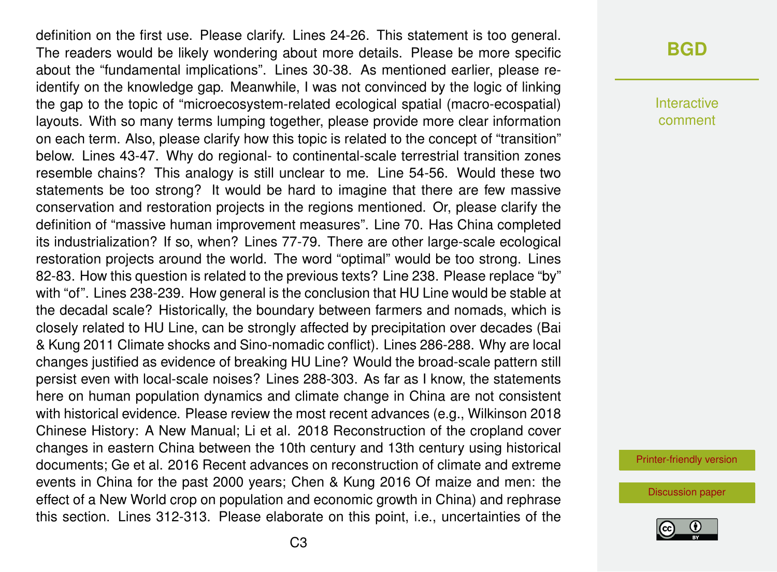definition on the first use. Please clarify. Lines 24-26. This statement is too general. The readers would be likely wondering about more details. Please be more specific about the "fundamental implications". Lines 30-38. As mentioned earlier, please reidentify on the knowledge gap. Meanwhile, I was not convinced by the logic of linking the gap to the topic of "microecosystem-related ecological spatial (macro-ecospatial) layouts. With so many terms lumping together, please provide more clear information on each term. Also, please clarify how this topic is related to the concept of "transition" below. Lines 43-47. Why do regional- to continental-scale terrestrial transition zones resemble chains? This analogy is still unclear to me. Line 54-56. Would these two statements be too strong? It would be hard to imagine that there are few massive conservation and restoration projects in the regions mentioned. Or, please clarify the definition of "massive human improvement measures". Line 70. Has China completed its industrialization? If so, when? Lines 77-79. There are other large-scale ecological restoration projects around the world. The word "optimal" would be too strong. Lines 82-83. How this question is related to the previous texts? Line 238. Please replace "by" with "of". Lines 238-239. How general is the conclusion that HU Line would be stable at the decadal scale? Historically, the boundary between farmers and nomads, which is closely related to HU Line, can be strongly affected by precipitation over decades (Bai & Kung 2011 Climate shocks and Sino-nomadic conflict). Lines 286-288. Why are local changes justified as evidence of breaking HU Line? Would the broad-scale pattern still persist even with local-scale noises? Lines 288-303. As far as I know, the statements here on human population dynamics and climate change in China are not consistent with historical evidence. Please review the most recent advances (e.g., Wilkinson 2018 Chinese History: A New Manual; Li et al. 2018 Reconstruction of the cropland cover changes in eastern China between the 10th century and 13th century using historical documents; Ge et al. 2016 Recent advances on reconstruction of climate and extreme events in China for the past 2000 years; Chen & Kung 2016 Of maize and men: the effect of a New World crop on population and economic growth in China) and rephrase this section. Lines 312-313. Please elaborate on this point, i.e., uncertainties of the

Interactive comment

[Printer-friendly version](https://www.biogeosciences-discuss.net/bg-2019-418/bg-2019-418-RC3-print.pdf)